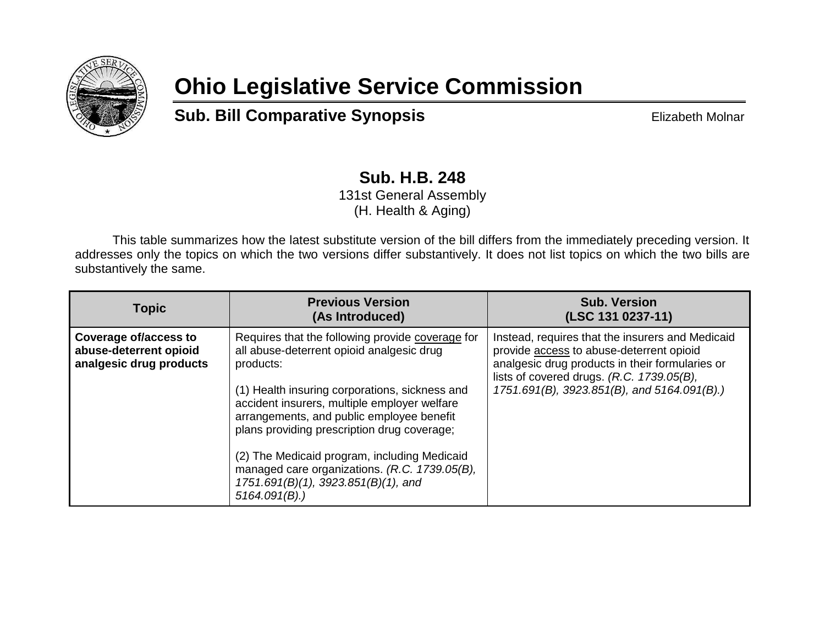

## **Ohio Legislative Service Commission**

**Sub. Bill Comparative Synopsis Elizabeth Molnar** 

## **Sub. H.B. 248** 131st General Assembly

(H. Health & Aging)

This table summarizes how the latest substitute version of the bill differs from the immediately preceding version. It addresses only the topics on which the two versions differ substantively. It does not list topics on which the two bills are substantively the same.

| <b>Topic</b>                                                                      | <b>Previous Version</b><br>(As Introduced)                                                                                                                                                                                                                                                                                                                                                                                                                           | <b>Sub. Version</b><br>(LSC 131 0237-11)                                                                                                                                                                                                    |
|-----------------------------------------------------------------------------------|----------------------------------------------------------------------------------------------------------------------------------------------------------------------------------------------------------------------------------------------------------------------------------------------------------------------------------------------------------------------------------------------------------------------------------------------------------------------|---------------------------------------------------------------------------------------------------------------------------------------------------------------------------------------------------------------------------------------------|
| <b>Coverage of/access to</b><br>abuse-deterrent opioid<br>analgesic drug products | Requires that the following provide coverage for<br>all abuse-deterrent opioid analgesic drug<br>products:<br>(1) Health insuring corporations, sickness and<br>accident insurers, multiple employer welfare<br>arrangements, and public employee benefit<br>plans providing prescription drug coverage;<br>(2) The Medicaid program, including Medicaid<br>managed care organizations. (R.C. 1739.05(B),<br>1751.691(B)(1), 3923.851(B)(1), and<br>$5164.091(B)$ .) | Instead, requires that the insurers and Medicaid<br>provide access to abuse-deterrent opioid<br>analgesic drug products in their formularies or<br>lists of covered drugs. (R.C. 1739.05(B),<br>1751.691(B), 3923.851(B), and 5164.091(B).) |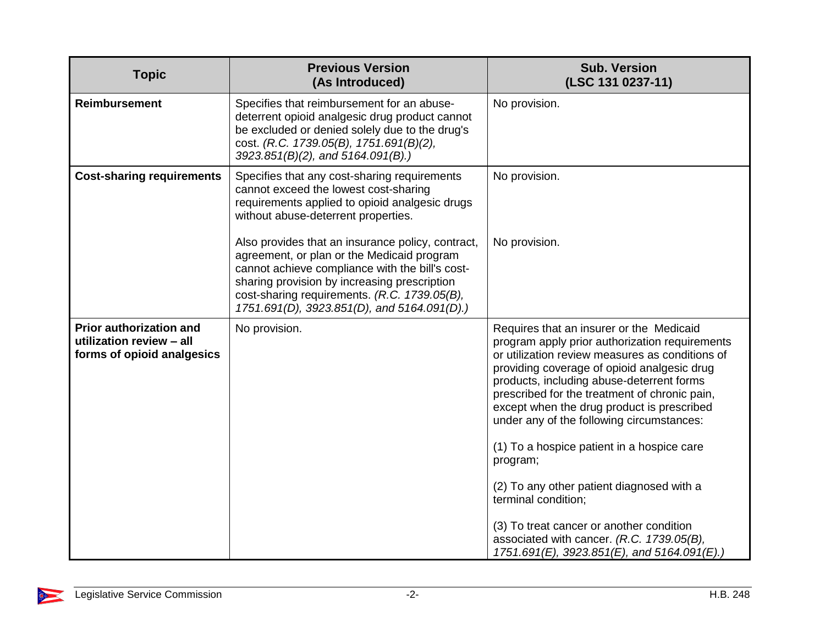| <b>Topic</b>                                                                             | <b>Previous Version</b><br>(As Introduced)                                                                                                                                                                                                                                                        | <b>Sub. Version</b><br>(LSC 131 0237-11)                                                                                                                                                                                                                                                                                                                                                                                            |
|------------------------------------------------------------------------------------------|---------------------------------------------------------------------------------------------------------------------------------------------------------------------------------------------------------------------------------------------------------------------------------------------------|-------------------------------------------------------------------------------------------------------------------------------------------------------------------------------------------------------------------------------------------------------------------------------------------------------------------------------------------------------------------------------------------------------------------------------------|
| Reimbursement                                                                            | Specifies that reimbursement for an abuse-<br>deterrent opioid analgesic drug product cannot<br>be excluded or denied solely due to the drug's<br>cost. (R.C. 1739.05(B), 1751.691(B)(2),<br>3923.851(B)(2), and 5164.091(B).)                                                                    | No provision.                                                                                                                                                                                                                                                                                                                                                                                                                       |
| <b>Cost-sharing requirements</b>                                                         | Specifies that any cost-sharing requirements<br>cannot exceed the lowest cost-sharing<br>requirements applied to opioid analgesic drugs<br>without abuse-deterrent properties.                                                                                                                    | No provision.                                                                                                                                                                                                                                                                                                                                                                                                                       |
|                                                                                          | Also provides that an insurance policy, contract,<br>agreement, or plan or the Medicaid program<br>cannot achieve compliance with the bill's cost-<br>sharing provision by increasing prescription<br>cost-sharing requirements. (R.C. 1739.05(B),<br>1751.691(D), 3923.851(D), and 5164.091(D).) | No provision.                                                                                                                                                                                                                                                                                                                                                                                                                       |
| <b>Prior authorization and</b><br>utilization review - all<br>forms of opioid analgesics | No provision.                                                                                                                                                                                                                                                                                     | Requires that an insurer or the Medicaid<br>program apply prior authorization requirements<br>or utilization review measures as conditions of<br>providing coverage of opioid analgesic drug<br>products, including abuse-deterrent forms<br>prescribed for the treatment of chronic pain,<br>except when the drug product is prescribed<br>under any of the following circumstances:<br>(1) To a hospice patient in a hospice care |
|                                                                                          |                                                                                                                                                                                                                                                                                                   | program;<br>(2) To any other patient diagnosed with a<br>terminal condition;<br>(3) To treat cancer or another condition<br>associated with cancer. (R.C. 1739.05(B),<br>1751.691(E), 3923.851(E), and 5164.091(E).)                                                                                                                                                                                                                |

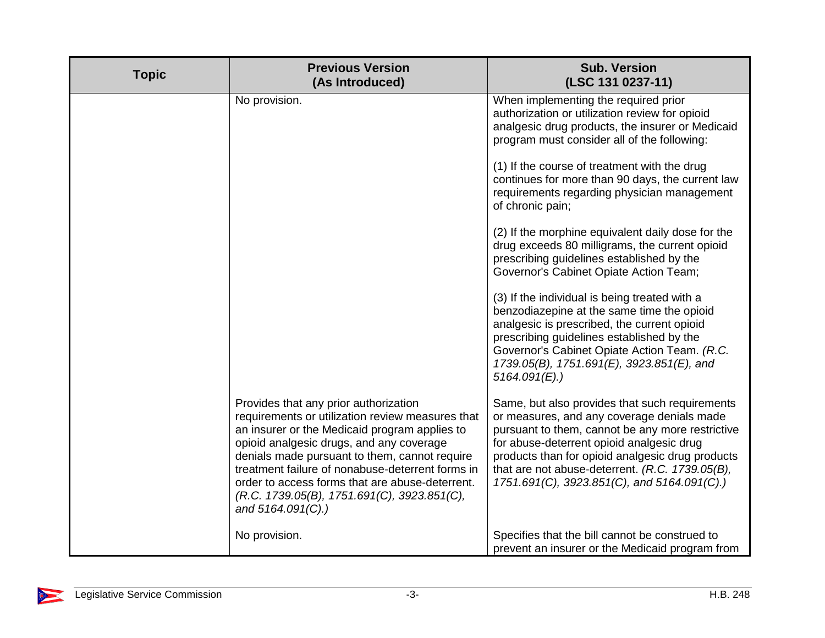| <b>Topic</b> | <b>Previous Version</b><br>(As Introduced)                                                                                                                                                                                                                                                                                                                                                                         | <b>Sub. Version</b><br>(LSC 131 0237-11)                                                                                                                                                                                                                                                                                                            |
|--------------|--------------------------------------------------------------------------------------------------------------------------------------------------------------------------------------------------------------------------------------------------------------------------------------------------------------------------------------------------------------------------------------------------------------------|-----------------------------------------------------------------------------------------------------------------------------------------------------------------------------------------------------------------------------------------------------------------------------------------------------------------------------------------------------|
|              | No provision.                                                                                                                                                                                                                                                                                                                                                                                                      | When implementing the required prior<br>authorization or utilization review for opioid<br>analgesic drug products, the insurer or Medicaid<br>program must consider all of the following:                                                                                                                                                           |
|              |                                                                                                                                                                                                                                                                                                                                                                                                                    | (1) If the course of treatment with the drug<br>continues for more than 90 days, the current law<br>requirements regarding physician management<br>of chronic pain;                                                                                                                                                                                 |
|              |                                                                                                                                                                                                                                                                                                                                                                                                                    | (2) If the morphine equivalent daily dose for the<br>drug exceeds 80 milligrams, the current opioid<br>prescribing guidelines established by the<br>Governor's Cabinet Opiate Action Team;                                                                                                                                                          |
|              |                                                                                                                                                                                                                                                                                                                                                                                                                    | (3) If the individual is being treated with a<br>benzodiazepine at the same time the opioid<br>analgesic is prescribed, the current opioid<br>prescribing guidelines established by the<br>Governor's Cabinet Opiate Action Team. (R.C.<br>1739.05(B), 1751.691(E), 3923.851(E), and<br>$5164.091(E)$ .)                                            |
|              | Provides that any prior authorization<br>requirements or utilization review measures that<br>an insurer or the Medicaid program applies to<br>opioid analgesic drugs, and any coverage<br>denials made pursuant to them, cannot require<br>treatment failure of nonabuse-deterrent forms in<br>order to access forms that are abuse-deterrent.<br>(R.C. 1739.05(B), 1751.691(C), 3923.851(C),<br>and 5164.091(C).) | Same, but also provides that such requirements<br>or measures, and any coverage denials made<br>pursuant to them, cannot be any more restrictive<br>for abuse-deterrent opioid analgesic drug<br>products than for opioid analgesic drug products<br>that are not abuse-deterrent. (R.C. 1739.05(B),<br>1751.691(C), 3923.851(C), and 5164.091(C).) |
|              | No provision.                                                                                                                                                                                                                                                                                                                                                                                                      | Specifies that the bill cannot be construed to<br>prevent an insurer or the Medicaid program from                                                                                                                                                                                                                                                   |